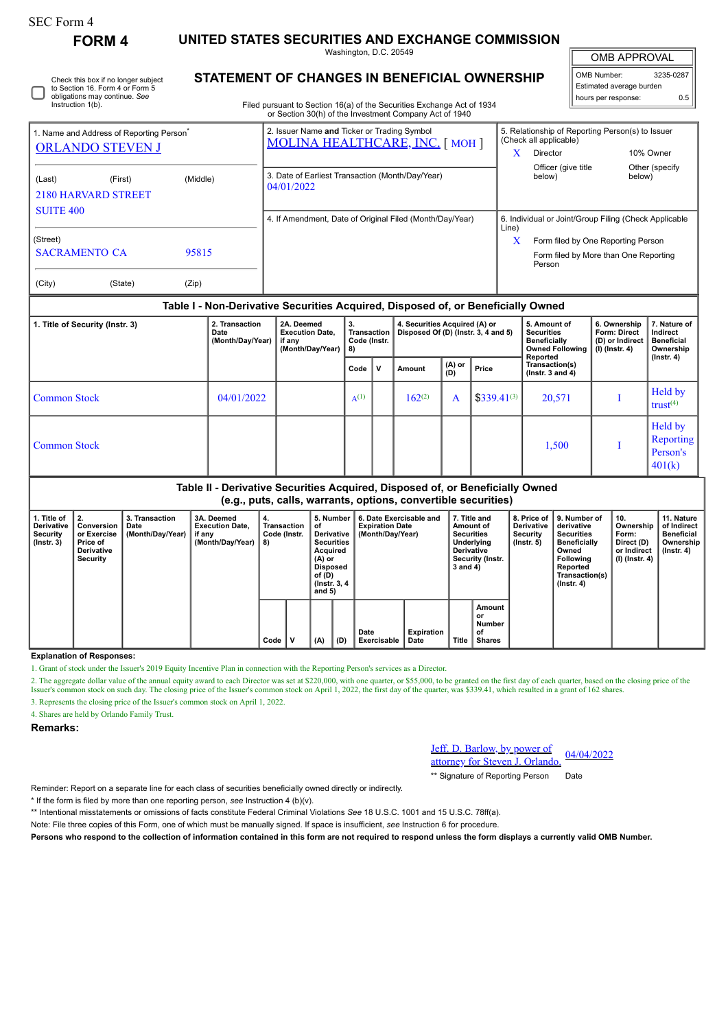# SEC Form 4

**FORM 4 UNITED STATES SECURITIES AND EXCHANGE COMMISSION**

Washington, D.C. 20549

OMB APPROVAL

| OMB Number:              | 3235-0287 |  |  |  |  |  |  |
|--------------------------|-----------|--|--|--|--|--|--|
| Estimated average burden |           |  |  |  |  |  |  |
| hours per response:      | ስ ፍ       |  |  |  |  |  |  |

 $\mathbb{I}$ 

Check this box if no longer subject to Section 16. Form 4 or Form 5 obligations may continue. *See* Instruction 1(b).

# **STATEMENT OF CHANGES IN BENEFICIAL OWNERSHIP**

Filed pursuant to Section 16(a) of the Securities Exchange Act of 1934 or Section 30(h) of the Investment Company Act of 1940

| 1. Name and Address of Reporting Person <sup>®</sup><br><b>ORLANDO STEVEN J</b>                                              |       | 2. Issuer Name and Ticker or Trading Symbol<br><b>MOLINA HEALTHCARE, INC. [MOH]</b> | 5. Relationship of Reporting Person(s) to Issuer<br>(Check all applicable)<br>10% Owner<br>Director |                                                                                                                                      |                          |  |  |
|------------------------------------------------------------------------------------------------------------------------------|-------|-------------------------------------------------------------------------------------|-----------------------------------------------------------------------------------------------------|--------------------------------------------------------------------------------------------------------------------------------------|--------------------------|--|--|
| (Middle)<br>(Last)<br>(First)<br><b>2180 HARVARD STREET</b><br><b>SUITE 400</b><br>(Street)<br><b>SACRAMENTO CA</b><br>95815 |       | 3. Date of Earliest Transaction (Month/Day/Year)<br>04/01/2022                      | $\lambda$                                                                                           | Officer (give title<br>below)                                                                                                        | Other (specify<br>below) |  |  |
|                                                                                                                              |       | 4. If Amendment, Date of Original Filed (Month/Day/Year)                            | Line)<br>X                                                                                          | 6. Individual or Joint/Group Filing (Check Applicable<br>Form filed by One Reporting Person<br>Form filed by More than One Reporting |                          |  |  |
| (City)<br>(State)                                                                                                            | (Zip) |                                                                                     |                                                                                                     | Person                                                                                                                               |                          |  |  |

### **Table I - Non-Derivative Securities Acquired, Disposed of, or Beneficially Owned**

| 1. Title of Security (Instr. 3) | 2. Transaction<br>Date<br>(Month/Day/Year) | 2A. Deemed<br><b>Execution Date.</b><br>if any<br>(Month/Day/Year) | 3.<br><b>Transaction</b><br>Code (Instr.<br>8) |  | 4. Securities Acquired (A) or<br>Disposed Of (D) (lnstr. 3, 4 and 5) |               |                  | 5. Amount of<br><b>Securities</b><br><b>Beneficially</b><br><b>Owned Following</b> | 6. Ownership<br><b>Form: Direct</b><br>(D) or Indirect<br>$(l)$ (lnstr. 4) | 7. Nature of<br>Indirect<br><b>Beneficial</b><br>Ownership |
|---------------------------------|--------------------------------------------|--------------------------------------------------------------------|------------------------------------------------|--|----------------------------------------------------------------------|---------------|------------------|------------------------------------------------------------------------------------|----------------------------------------------------------------------------|------------------------------------------------------------|
|                                 |                                            |                                                                    | v<br>Code                                      |  | Amount                                                               | (A) or<br>(D) | Price            | Reported<br>Transaction(s)<br>( $lnstr. 3 and 4$ )                                 |                                                                            | (Instr. 4)                                                 |
| <b>Common Stock</b>             | 04/01/2022                                 |                                                                    | $A^{(1)}$                                      |  | $162^{(2)}$                                                          | A             | $$339.41^{(3)}$$ | 20,571                                                                             |                                                                            | <b>Held by</b><br>trust <sup><math>(4)</math></sup>        |
| <b>Common Stock</b>             |                                            |                                                                    |                                                |  |                                                                      |               |                  | 1,500                                                                              |                                                                            | Held by<br>Reporting<br>Person's<br>401(k)                 |

## **Table II - Derivative Securities Acquired, Disposed of, or Beneficially Owned (e.g., puts, calls, warrants, options, convertible securities)**

| 1. Title of<br>Derivative<br>Security<br>$($ lnstr. 3 $)$ | 2.<br>Conversion<br>or Exercise<br>Price of<br>Derivative<br>Security | 3. Transaction<br>Date<br>(Month/Day/Year) | 3A. Deemed<br><b>Execution Date,</b><br>if any<br>(Month/Day/Year) | 4.<br>Transaction<br>Code (Instr.<br>8) |   | 5. Number<br>οt<br>Derivative<br><b>Securities</b><br>Acquired<br>(A) or<br><b>Disposed</b><br>of (D)<br>(Instr. 3, 4)<br>and $5)$ |     | 6. Date Exercisable and<br><b>Expiration Date</b><br>(Month/Day/Year) | 7. Title and<br>Amount of<br><b>Securities</b><br>Underlying<br><b>Derivative</b><br>Security (Instr.<br>3 and 4) |              | 8. Price of<br>Derivative<br>Security<br>$($ lnstr. 5 $)$ | 9. Number of<br>derivative<br><b>Securities</b><br><b>Beneficially</b><br>Owned<br>Following<br>Reported<br>Transaction(s)<br>$($ Instr. 4 $)$ | 10.<br>Ownership<br>Form:<br>Direct (D)<br>or Indirect<br>$(l)$ (lnstr. 4) | 11. Nature<br>of Indirect<br><b>Beneficial</b><br>Ownership<br>(Instr. 4) |  |
|-----------------------------------------------------------|-----------------------------------------------------------------------|--------------------------------------------|--------------------------------------------------------------------|-----------------------------------------|---|------------------------------------------------------------------------------------------------------------------------------------|-----|-----------------------------------------------------------------------|-------------------------------------------------------------------------------------------------------------------|--------------|-----------------------------------------------------------|------------------------------------------------------------------------------------------------------------------------------------------------|----------------------------------------------------------------------------|---------------------------------------------------------------------------|--|
|                                                           |                                                                       |                                            |                                                                    | Code                                    | v | (A)                                                                                                                                | (D) | Date<br>Exercisable                                                   | <b>Expiration</b><br>Date                                                                                         | <b>Title</b> | Amount<br>or<br>Number<br>of<br><b>Shares</b>             |                                                                                                                                                |                                                                            |                                                                           |  |

**Explanation of Responses:**

1. Grant of stock under the Issuer's 2019 Equity Incentive Plan in connection with the Reporting Person's services as a Director.

2. The aggregate dollar value of the annual equity award to each Director was set at \$220,000, with one quarter, or \$55,000, to be granted on the first day of each quarter, based on the closing price of the Issuer's common

3. Represents the closing price of the Issuer's common stock on April 1, 2022.

4. Shares are held by Orlando Family Trust.

**Remarks:**

Jeff. D. Barlow, by power of <u>Jeff. D. Barlow, by power of 04/04/2022</u><br>attorney for Steven J. Orlando.

\*\* Signature of Reporting Person Date

Reminder: Report on a separate line for each class of securities beneficially owned directly or indirectly.

\* If the form is filed by more than one reporting person, *see* Instruction 4 (b)(v).

\*\* Intentional misstatements or omissions of facts constitute Federal Criminal Violations *See* 18 U.S.C. 1001 and 15 U.S.C. 78ff(a).

Note: File three copies of this Form, one of which must be manually signed. If space is insufficient, *see* Instruction 6 for procedure.

**Persons who respond to the collection of information contained in this form are not required to respond unless the form displays a currently valid OMB Number.**